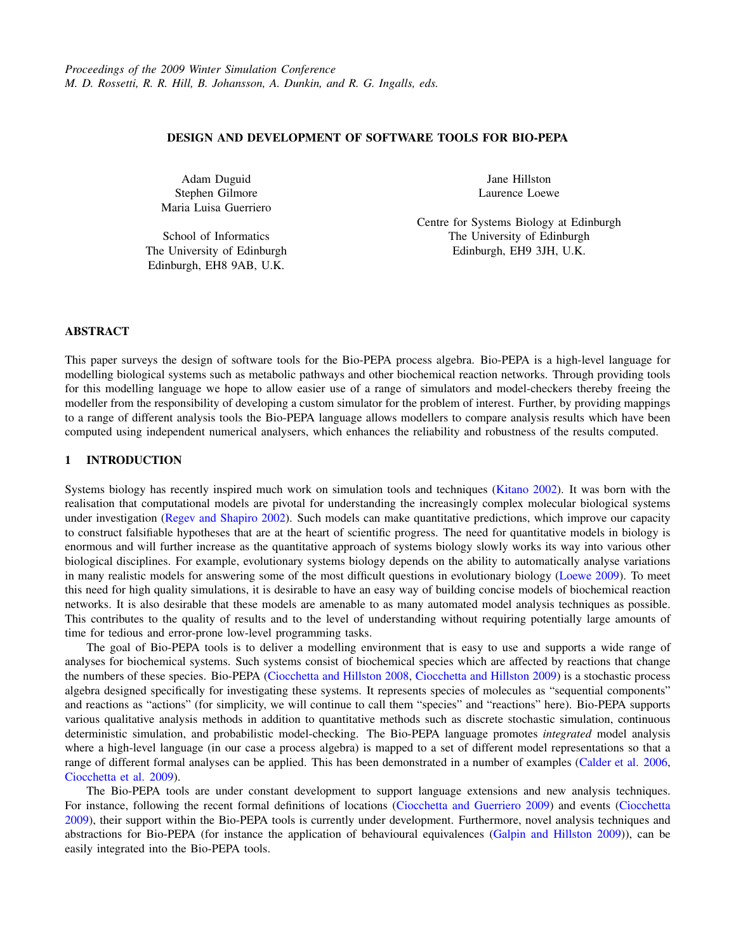# DESIGN AND DEVELOPMENT OF SOFTWARE TOOLS FOR BIO-PEPA

Adam Duguid Stephen Gilmore Maria Luisa Guerriero

School of Informatics The University of Edinburgh Edinburgh, EH8 9AB, U.K.

Jane Hillston Laurence Loewe

Centre for Systems Biology at Edinburgh The University of Edinburgh Edinburgh, EH9 3JH, U.K.

# ABSTRACT

This paper surveys the design of software tools for the Bio-PEPA process algebra. Bio-PEPA is a high-level language for modelling biological systems such as metabolic pathways and other biochemical reaction networks. Through providing tools for this modelling language we hope to allow easier use of a range of simulators and model-checkers thereby freeing the modeller from the responsibility of developing a custom simulator for the problem of interest. Further, by providing mappings to a range of different analysis tools the Bio-PEPA language allows modellers to compare analysis results which have been computed using independent numerical analysers, which enhances the reliability and robustness of the results computed.

## 1 INTRODUCTION

Systems biology has recently inspired much work on simulation tools and techniques [\(Kitano 2002\)](#page-11-0). It was born with the realisation that computational models are pivotal for understanding the increasingly complex molecular biological systems under investigation [\(Regev and Shapiro 2002\)](#page-11-1). Such models can make quantitative predictions, which improve our capacity to construct falsifiable hypotheses that are at the heart of scientific progress. The need for quantitative models in biology is enormous and will further increase as the quantitative approach of systems biology slowly works its way into various other biological disciplines. For example, evolutionary systems biology depends on the ability to automatically analyse variations in many realistic models for answering some of the most difficult questions in evolutionary biology [\(Loewe 2009\)](#page-11-2). To meet this need for high quality simulations, it is desirable to have an easy way of building concise models of biochemical reaction networks. It is also desirable that these models are amenable to as many automated model analysis techniques as possible. This contributes to the quality of results and to the level of understanding without requiring potentially large amounts of time for tedious and error-prone low-level programming tasks.

The goal of Bio-PEPA tools is to deliver a modelling environment that is easy to use and supports a wide range of analyses for biochemical systems. Such systems consist of biochemical species which are affected by reactions that change the numbers of these species. Bio-PEPA [\(Ciocchetta and Hillston 2008,](#page-10-0) [Ciocchetta and Hillston 2009\)](#page-10-1) is a stochastic process algebra designed specifically for investigating these systems. It represents species of molecules as "sequential components" and reactions as "actions" (for simplicity, we will continue to call them "species" and "reactions" here). Bio-PEPA supports various qualitative analysis methods in addition to quantitative methods such as discrete stochastic simulation, continuous deterministic simulation, and probabilistic model-checking. The Bio-PEPA language promotes *integrated* model analysis where a high-level language (in our case a process algebra) is mapped to a set of different model representations so that a range of different formal analyses can be applied. This has been demonstrated in a number of examples [\(Calder et al. 2006,](#page-10-2) [Ciocchetta et al. 2009\)](#page-10-3).

The Bio-PEPA tools are under constant development to support language extensions and new analysis techniques. For instance, following the recent formal definitions of locations [\(Ciocchetta and Guerriero 2009\)](#page-10-4) and events [\(Ciocchetta](#page-10-5) [2009\)](#page-10-5), their support within the Bio-PEPA tools is currently under development. Furthermore, novel analysis techniques and abstractions for Bio-PEPA (for instance the application of behavioural equivalences [\(Galpin and Hillston 2009\)](#page-10-6)), can be easily integrated into the Bio-PEPA tools.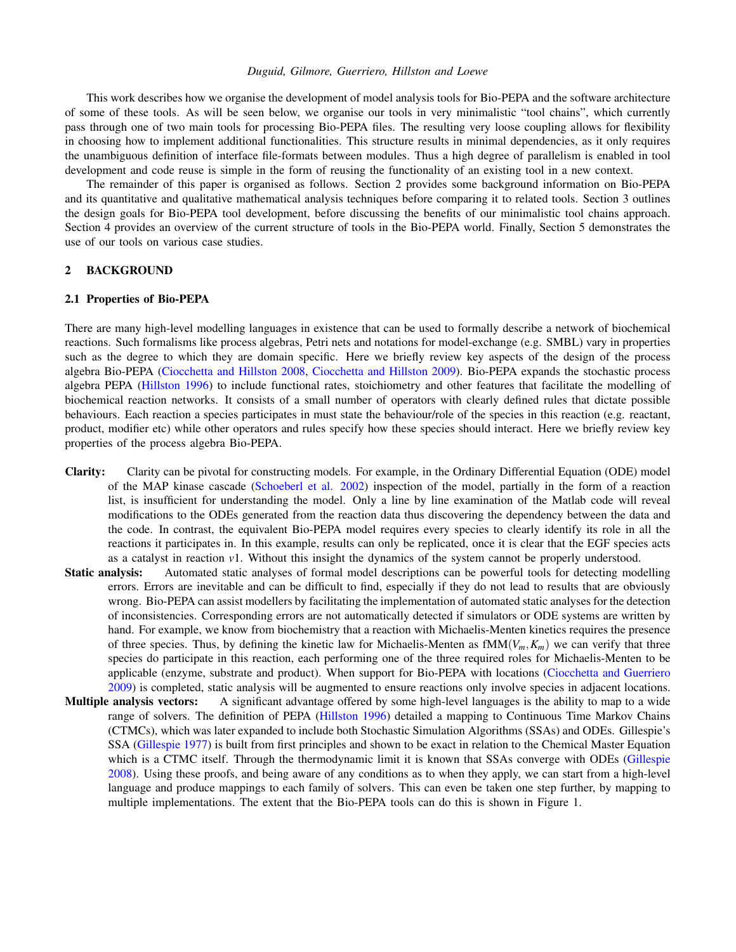This work describes how we organise the development of model analysis tools for Bio-PEPA and the software architecture of some of these tools. As will be seen below, we organise our tools in very minimalistic "tool chains", which currently pass through one of two main tools for processing Bio-PEPA files. The resulting very loose coupling allows for flexibility in choosing how to implement additional functionalities. This structure results in minimal dependencies, as it only requires the unambiguous definition of interface file-formats between modules. Thus a high degree of parallelism is enabled in tool development and code reuse is simple in the form of reusing the functionality of an existing tool in a new context.

The remainder of this paper is organised as follows. Section [2](#page-1-0) provides some background information on Bio-PEPA and its quantitative and qualitative mathematical analysis techniques before comparing it to related tools. Section [3](#page-4-0) outlines the design goals for Bio-PEPA tool development, before discussing the benefits of our minimalistic tool chains approach. Section [4](#page-6-0) provides an overview of the current structure of tools in the Bio-PEPA world. Finally, Section [5](#page-8-0) demonstrates the use of our tools on various case studies.

# <span id="page-1-0"></span>2 BACKGROUND

## 2.1 Properties of Bio-PEPA

There are many high-level modelling languages in existence that can be used to formally describe a network of biochemical reactions. Such formalisms like process algebras, Petri nets and notations for model-exchange (e.g. SMBL) vary in properties such as the degree to which they are domain specific. Here we briefly review key aspects of the design of the process algebra Bio-PEPA [\(Ciocchetta and Hillston 2008,](#page-10-0) [Ciocchetta and Hillston 2009\)](#page-10-1). Bio-PEPA expands the stochastic process algebra PEPA [\(Hillston 1996\)](#page-11-3) to include functional rates, stoichiometry and other features that facilitate the modelling of biochemical reaction networks. It consists of a small number of operators with clearly defined rules that dictate possible behaviours. Each reaction a species participates in must state the behaviour/role of the species in this reaction (e.g. reactant, product, modifier etc) while other operators and rules specify how these species should interact. Here we briefly review key properties of the process algebra Bio-PEPA.

- Clarity: Clarity can be pivotal for constructing models. For example, in the Ordinary Differential Equation (ODE) model of the MAP kinase cascade [\(Schoeberl et al. 2002\)](#page-11-4) inspection of the model, partially in the form of a reaction list, is insufficient for understanding the model. Only a line by line examination of the Matlab code will reveal modifications to the ODEs generated from the reaction data thus discovering the dependency between the data and the code. In contrast, the equivalent Bio-PEPA model requires every species to clearly identify its role in all the reactions it participates in. In this example, results can only be replicated, once it is clear that the EGF species acts as a catalyst in reaction *v*1. Without this insight the dynamics of the system cannot be properly understood.
- Static analysis: Automated static analyses of formal model descriptions can be powerful tools for detecting modelling errors. Errors are inevitable and can be difficult to find, especially if they do not lead to results that are obviously wrong. Bio-PEPA can assist modellers by facilitating the implementation of automated static analyses for the detection of inconsistencies. Corresponding errors are not automatically detected if simulators or ODE systems are written by hand. For example, we know from biochemistry that a reaction with Michaelis-Menten kinetics requires the presence of three species. Thus, by defining the kinetic law for Michaelis-Menten as  $fMM(V_m, K_m)$  we can verify that three species do participate in this reaction, each performing one of the three required roles for Michaelis-Menten to be applicable (enzyme, substrate and product). When support for Bio-PEPA with locations [\(Ciocchetta and Guerriero](#page-10-4) [2009\)](#page-10-4) is completed, static analysis will be augmented to ensure reactions only involve species in adjacent locations.
- Multiple analysis vectors: A significant advantage offered by some high-level languages is the ability to map to a wide range of solvers. The definition of PEPA [\(Hillston 1996\)](#page-11-3) detailed a mapping to Continuous Time Markov Chains (CTMCs), which was later expanded to include both Stochastic Simulation Algorithms (SSAs) and ODEs. Gillespie's SSA [\(Gillespie 1977\)](#page-10-7) is built from first principles and shown to be exact in relation to the Chemical Master Equation which is a CTMC itself. Through the thermodynamic limit it is known that SSAs converge with ODEs [\(Gillespie](#page-10-8) [2008\)](#page-10-8). Using these proofs, and being aware of any conditions as to when they apply, we can start from a high-level language and produce mappings to each family of solvers. This can even be taken one step further, by mapping to multiple implementations. The extent that the Bio-PEPA tools can do this is shown in Figure [1.](#page-2-0)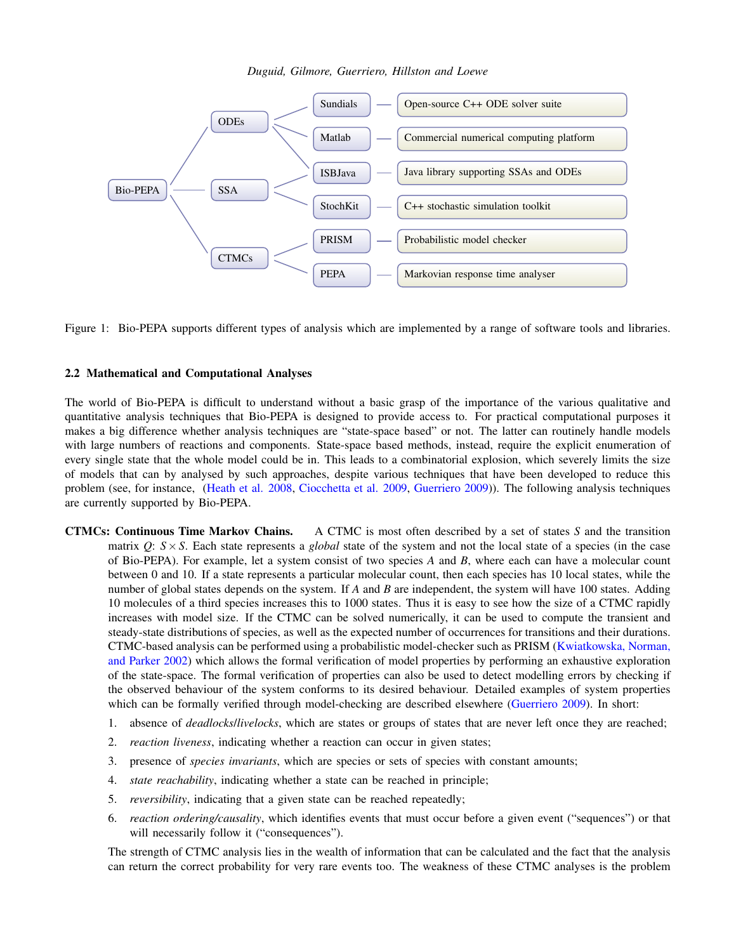*Duguid, Duguid, Gilmore, Guerriero, Hillston and Loewe Gilmore, Guerriero, Hillston and Loewe*



<span id="page-2-0"></span>Figure 1: Bio-PEPA supports different types of analysis which are implemented by a range of software tools and libraries.

# <span id="page-2-1"></span>2.2 Mathematical and Computational Analyses 2.2 Mathematical and Computational Analyses

The world of Bio-PEPA is difficult to understand without a basic grasp of the importance of the various qualitative and quantitative analysis techniques that Bio-PEPA is designed to provide access to. For practical computational purposes it makes a big difference whether analysis techniques are "state-space based" or not. The latter can routinely handle models with large numbers of reactions and components. State-space based methods, instead, require the explicit enumeration of every single state that the whole model could be in. This leads to a combinatorial explosion, which severely limits the size of models that can by analysed by such approaches, despite various techniques that have been developed to reduce this problem (see, for instance, [\(Heath et al. 2008,](#page-11-5) [Ciocchetta et al. 2009,](#page-10-3) [Guerriero 2009\)](#page-10-9)). The following analysis techniques are currently supported by Bio-PEPA. are currently supported by Bio-PEPA.

- CTMCs: Continuous Time Markov Chains. A CTMC is most often described by a set of states S and the transition matrix Q:  $S \times S$ . Each state represents a *global* state of the system and not the local state of a species (in the case of Bio-PEPA). For example, let a system consist of two species A and B, where each can have a molecular count between 0 and 10. If a state represents a particular molecular count, then each species has 10 local states, while the number of global states depends on the system. If A and B are independent, the system will have 100 states. Adding 10 molecules of a third species increases this to 1000 states. Thus it is easy to see how the size of a CTMC rapidly increases with model size. If the CTMC can be solved numerically, it can be used to compute the transient and increases with model size. If the CTMC can be solved numerically, it can be used to compute the transient and steady-state distributions of species, as well as the expected number of occurrences for transitions and their durations. CTMC-based analysis can be performed using a probabilistic model-checker such as PRISM (Kwiatkowska, Norman, CTMC-based analysis can be performed using a probabilistic model-checker such as PRISM [\(Kwiatkowska, Norman,](#page-11-6) [and Parker 2002\)](#page-11-6) which allows the formal verification of model properties by performing an exhaustive exploration of the state-space. The formal verification of properties can also be used to detect modelling errors by checking if the observed behaviour of the system conforms to its desired behaviour. Detailed examples of system properties the observed behaviour of the system conforms to its desired behaviour. Detailed examples of system properties which can be formally verified through model-checking are described elsewhere [\(Guerriero 2009\)](#page-10-9). In short:
	- 1. absence of *deadlocks/livelocks*, which are states or groups of states that are never left once they are reached;
	- 2. *reaction liveness*, indicating whether a reaction can occur in given states; 2. *reaction liveness*, indicating whether a reaction can occur in given states;
	- 3. presence of *species invariants*, which are species or sets of species with constant amounts; 3. presence of *species invariants*, which are species or sets of species with constant amounts;
	- 4. *state reachability*, indicating whether a state can be reached in principle; 4. *state reachability*, indicating whether a state can be reached in principle;
	- 5. *reversibility*, indicating that a given state can be reached repeatedly; 5. *reversibility*, indicating that a given state can be reached repeatedly;
	- 6. reaction ordering/causality, which identifies events that must occur before a given event ("sequences") or that will necessarily follow it ("consequences"). will necessarily follow it ("consequences").

The strength of CTMC analysis lies in the wealth of information that can be calculated and the fact that the analysis can return the correct probability for very rare events too. The weakness of these CTMC analyses is the problem can return the correct probability for very rare events too. The weakness of these CTMC analyses is the problem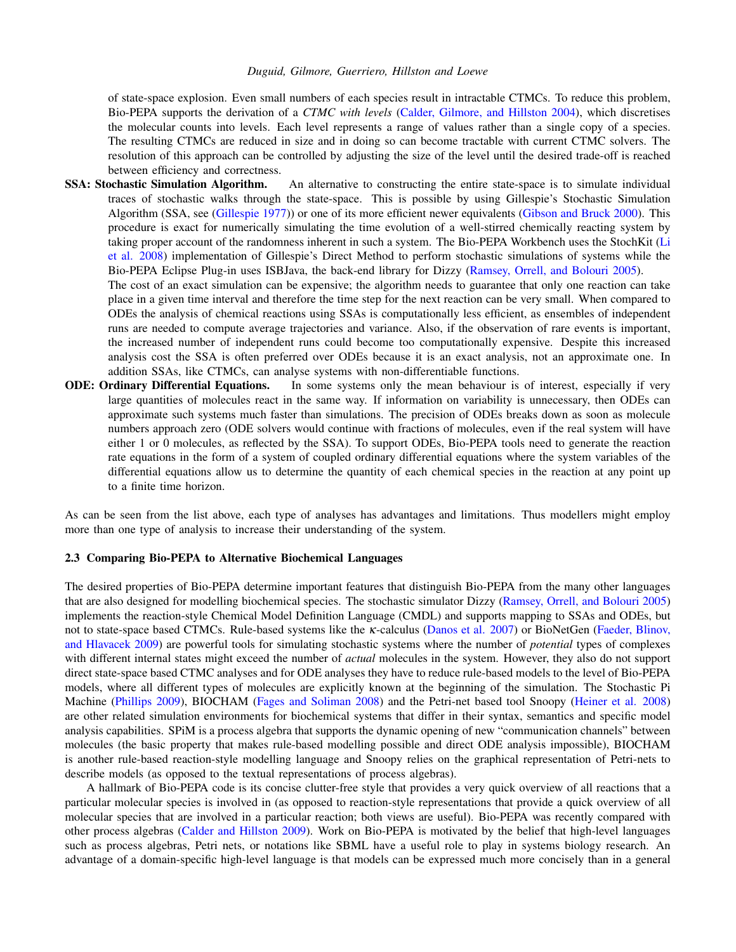of state-space explosion. Even small numbers of each species result in intractable CTMCs. To reduce this problem, Bio-PEPA supports the derivation of a *CTMC with levels* [\(Calder, Gilmore, and Hillston 2004\)](#page-10-10), which discretises the molecular counts into levels. Each level represents a range of values rather than a single copy of a species. The resulting CTMCs are reduced in size and in doing so can become tractable with current CTMC solvers. The resolution of this approach can be controlled by adjusting the size of the level until the desired trade-off is reached between efficiency and correctness.

SSA: Stochastic Simulation Algorithm. An alternative to constructing the entire state-space is to simulate individual traces of stochastic walks through the state-space. This is possible by using Gillespie's Stochastic Simulation Algorithm (SSA, see [\(Gillespie 1977\)](#page-10-7)) or one of its more efficient newer equivalents [\(Gibson and Bruck 2000\)](#page-10-11). This procedure is exact for numerically simulating the time evolution of a well-stirred chemically reacting system by taking proper account of the randomness inherent in such a system. The Bio-PEPA Workbench uses the StochKit [\(Li](#page-11-7) [et al. 2008\)](#page-11-7) implementation of Gillespie's Direct Method to perform stochastic simulations of systems while the Bio-PEPA Eclipse Plug-in uses ISBJava, the back-end library for Dizzy [\(Ramsey, Orrell, and Bolouri 2005\)](#page-11-8).

The cost of an exact simulation can be expensive; the algorithm needs to guarantee that only one reaction can take place in a given time interval and therefore the time step for the next reaction can be very small. When compared to ODEs the analysis of chemical reactions using SSAs is computationally less efficient, as ensembles of independent runs are needed to compute average trajectories and variance. Also, if the observation of rare events is important, the increased number of independent runs could become too computationally expensive. Despite this increased analysis cost the SSA is often preferred over ODEs because it is an exact analysis, not an approximate one. In addition SSAs, like CTMCs, can analyse systems with non-differentiable functions.

ODE: Ordinary Differential Equations. In some systems only the mean behaviour is of interest, especially if very large quantities of molecules react in the same way. If information on variability is unnecessary, then ODEs can approximate such systems much faster than simulations. The precision of ODEs breaks down as soon as molecule numbers approach zero (ODE solvers would continue with fractions of molecules, even if the real system will have either 1 or 0 molecules, as reflected by the SSA). To support ODEs, Bio-PEPA tools need to generate the reaction rate equations in the form of a system of coupled ordinary differential equations where the system variables of the differential equations allow us to determine the quantity of each chemical species in the reaction at any point up to a finite time horizon.

As can be seen from the list above, each type of analyses has advantages and limitations. Thus modellers might employ more than one type of analysis to increase their understanding of the system.

## 2.3 Comparing Bio-PEPA to Alternative Biochemical Languages

The desired properties of Bio-PEPA determine important features that distinguish Bio-PEPA from the many other languages that are also designed for modelling biochemical species. The stochastic simulator Dizzy [\(Ramsey, Orrell, and Bolouri 2005\)](#page-11-8) implements the reaction-style Chemical Model Definition Language (CMDL) and supports mapping to SSAs and ODEs, but not to state-space based CTMCs. Rule-based systems like the κ-calculus [\(Danos et al. 2007\)](#page-10-12) or BioNetGen [\(Faeder, Blinov,](#page-10-13) [and Hlavacek 2009\)](#page-10-13) are powerful tools for simulating stochastic systems where the number of *potential* types of complexes with different internal states might exceed the number of *actual* molecules in the system. However, they also do not support direct state-space based CTMC analyses and for ODE analyses they have to reduce rule-based models to the level of Bio-PEPA models, where all different types of molecules are explicitly known at the beginning of the simulation. The Stochastic Pi Machine [\(Phillips 2009\)](#page-11-9), BIOCHAM [\(Fages and Soliman 2008\)](#page-10-14) and the Petri-net based tool Snoopy [\(Heiner et al. 2008\)](#page-11-10) are other related simulation environments for biochemical systems that differ in their syntax, semantics and specific model analysis capabilities. SPiM is a process algebra that supports the dynamic opening of new "communication channels" between molecules (the basic property that makes rule-based modelling possible and direct ODE analysis impossible), BIOCHAM is another rule-based reaction-style modelling language and Snoopy relies on the graphical representation of Petri-nets to describe models (as opposed to the textual representations of process algebras).

A hallmark of Bio-PEPA code is its concise clutter-free style that provides a very quick overview of all reactions that a particular molecular species is involved in (as opposed to reaction-style representations that provide a quick overview of all molecular species that are involved in a particular reaction; both views are useful). Bio-PEPA was recently compared with other process algebras [\(Calder and Hillston 2009\)](#page-10-15). Work on Bio-PEPA is motivated by the belief that high-level languages such as process algebras, Petri nets, or notations like SBML have a useful role to play in systems biology research. An advantage of a domain-specific high-level language is that models can be expressed much more concisely than in a general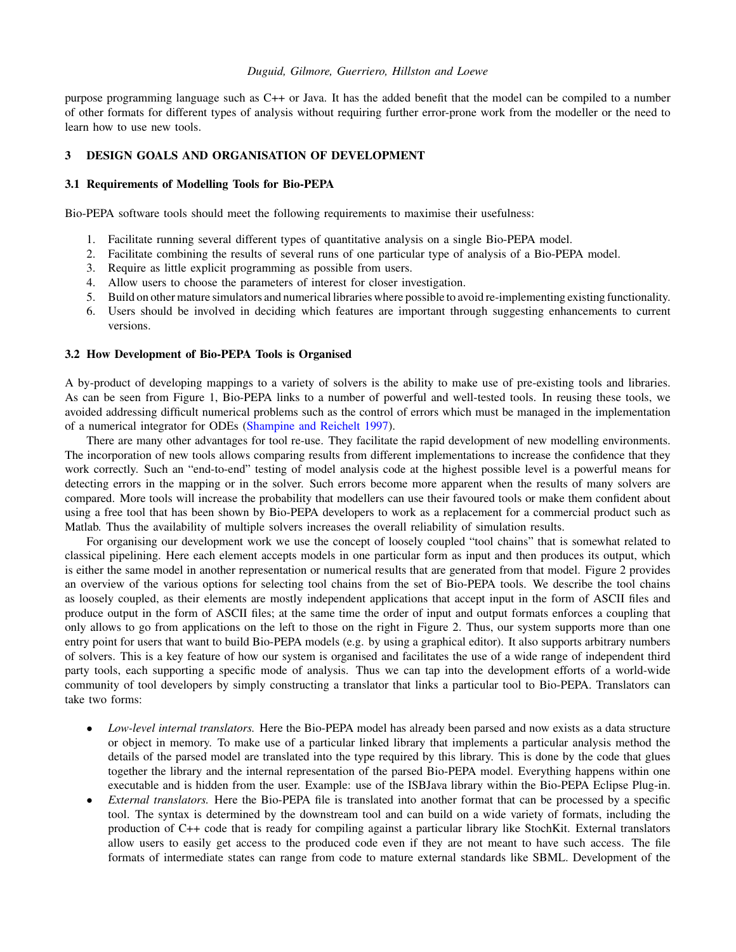purpose programming language such as C++ or Java. It has the added benefit that the model can be compiled to a number of other formats for different types of analysis without requiring further error-prone work from the modeller or the need to learn how to use new tools.

# <span id="page-4-0"></span>3 DESIGN GOALS AND ORGANISATION OF DEVELOPMENT

# 3.1 Requirements of Modelling Tools for Bio-PEPA

Bio-PEPA software tools should meet the following requirements to maximise their usefulness:

- 1. Facilitate running several different types of quantitative analysis on a single Bio-PEPA model.
- 2. Facilitate combining the results of several runs of one particular type of analysis of a Bio-PEPA model.
- 3. Require as little explicit programming as possible from users.
- 4. Allow users to choose the parameters of interest for closer investigation.
- 5. Build on other mature simulators and numerical libraries where possible to avoid re-implementing existing functionality.
- 6. Users should be involved in deciding which features are important through suggesting enhancements to current versions.

### 3.2 How Development of Bio-PEPA Tools is Organised

A by-product of developing mappings to a variety of solvers is the ability to make use of pre-existing tools and libraries. As can be seen from Figure [1,](#page-2-0) Bio-PEPA links to a number of powerful and well-tested tools. In reusing these tools, we avoided addressing difficult numerical problems such as the control of errors which must be managed in the implementation of a numerical integrator for ODEs [\(Shampine and Reichelt 1997\)](#page-11-11).

There are many other advantages for tool re-use. They facilitate the rapid development of new modelling environments. The incorporation of new tools allows comparing results from different implementations to increase the confidence that they work correctly. Such an "end-to-end" testing of model analysis code at the highest possible level is a powerful means for detecting errors in the mapping or in the solver. Such errors become more apparent when the results of many solvers are compared. More tools will increase the probability that modellers can use their favoured tools or make them confident about using a free tool that has been shown by Bio-PEPA developers to work as a replacement for a commercial product such as Matlab. Thus the availability of multiple solvers increases the overall reliability of simulation results.

For organising our development work we use the concept of loosely coupled "tool chains" that is somewhat related to classical pipelining. Here each element accepts models in one particular form as input and then produces its output, which is either the same model in another representation or numerical results that are generated from that model. Figure [2](#page-5-0) provides an overview of the various options for selecting tool chains from the set of Bio-PEPA tools. We describe the tool chains as loosely coupled, as their elements are mostly independent applications that accept input in the form of ASCII files and produce output in the form of ASCII files; at the same time the order of input and output formats enforces a coupling that only allows to go from applications on the left to those on the right in Figure [2.](#page-5-0) Thus, our system supports more than one entry point for users that want to build Bio-PEPA models (e.g. by using a graphical editor). It also supports arbitrary numbers of solvers. This is a key feature of how our system is organised and facilitates the use of a wide range of independent third party tools, each supporting a specific mode of analysis. Thus we can tap into the development efforts of a world-wide community of tool developers by simply constructing a translator that links a particular tool to Bio-PEPA. Translators can take two forms:

- *Low-level internal translators.* Here the Bio-PEPA model has already been parsed and now exists as a data structure or object in memory. To make use of a particular linked library that implements a particular analysis method the details of the parsed model are translated into the type required by this library. This is done by the code that glues together the library and the internal representation of the parsed Bio-PEPA model. Everything happens within one executable and is hidden from the user. Example: use of the ISBJava library within the Bio-PEPA Eclipse Plug-in.
- *External translators.* Here the Bio-PEPA file is translated into another format that can be processed by a specific tool. The syntax is determined by the downstream tool and can build on a wide variety of formats, including the production of C++ code that is ready for compiling against a particular library like StochKit. External translators allow users to easily get access to the produced code even if they are not meant to have such access. The file formats of intermediate states can range from code to mature external standards like SBML. Development of the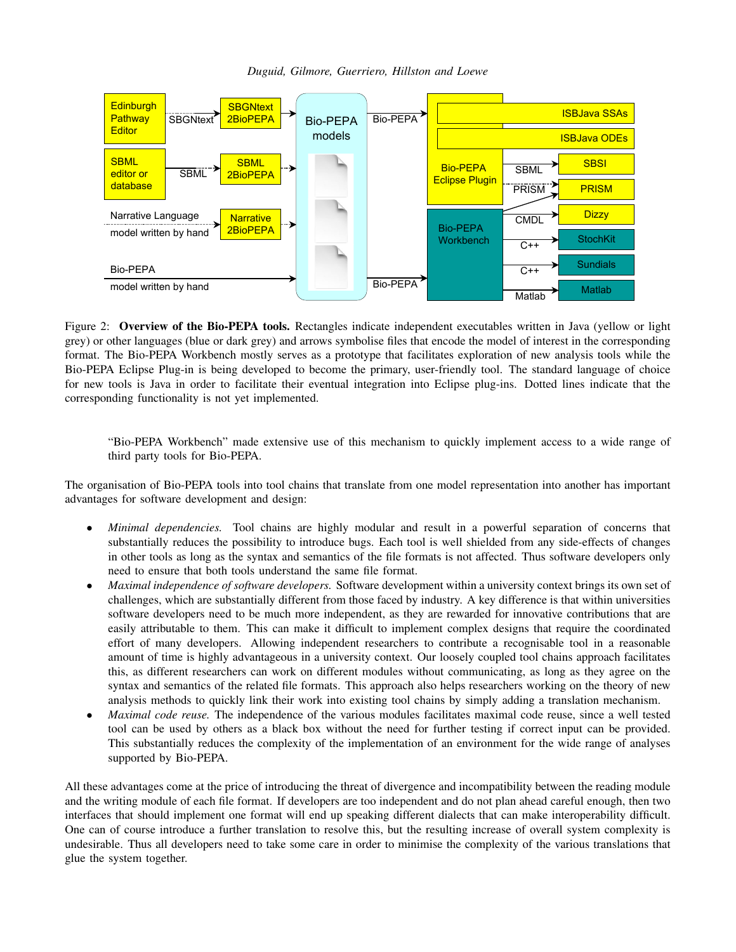

<span id="page-5-0"></span>Figure 2: Overview of the Bio-PEPA tools. Rectangles indicate independent executables written in Java (yellow or light grey) or other languages (blue or dark grey) and arrows symbolise files that encode the model of interest in the corresponding format. The Bio-PEPA Workbench mostly serves as a prototype that facilitates exploration of new analysis tools while the Bio-PEPA Eclipse Plug-in is being developed to become the primary, user-friendly tool. The standard language of choice for new tools is Java in order to facilitate their eventual integration into Eclipse plug-ins. Dotted lines indicate that the corresponding functionality is not yet implemented.

"Bio-PEPA Workbench" made extensive use of this mechanism to quickly implement access to a wide range of third party tools for Bio-PEPA.

The organisation of Bio-PEPA tools into tool chains that translate from one model representation into another has important advantages for software development and design:

- *Minimal dependencies.* Tool chains are highly modular and result in a powerful separation of concerns that substantially reduces the possibility to introduce bugs. Each tool is well shielded from any side-effects of changes in other tools as long as the syntax and semantics of the file formats is not affected. Thus software developers only need to ensure that both tools understand the same file format.
- *Maximal independence of software developers.* Software development within a university context brings its own set of challenges, which are substantially different from those faced by industry. A key difference is that within universities software developers need to be much more independent, as they are rewarded for innovative contributions that are easily attributable to them. This can make it difficult to implement complex designs that require the coordinated effort of many developers. Allowing independent researchers to contribute a recognisable tool in a reasonable amount of time is highly advantageous in a university context. Our loosely coupled tool chains approach facilitates this, as different researchers can work on different modules without communicating, as long as they agree on the syntax and semantics of the related file formats. This approach also helps researchers working on the theory of new analysis methods to quickly link their work into existing tool chains by simply adding a translation mechanism.
- *Maximal code reuse.* The independence of the various modules facilitates maximal code reuse, since a well tested tool can be used by others as a black box without the need for further testing if correct input can be provided. This substantially reduces the complexity of the implementation of an environment for the wide range of analyses supported by Bio-PEPA.

All these advantages come at the price of introducing the threat of divergence and incompatibility between the reading module and the writing module of each file format. If developers are too independent and do not plan ahead careful enough, then two interfaces that should implement one format will end up speaking different dialects that can make interoperability difficult. One can of course introduce a further translation to resolve this, but the resulting increase of overall system complexity is undesirable. Thus all developers need to take some care in order to minimise the complexity of the various translations that glue the system together.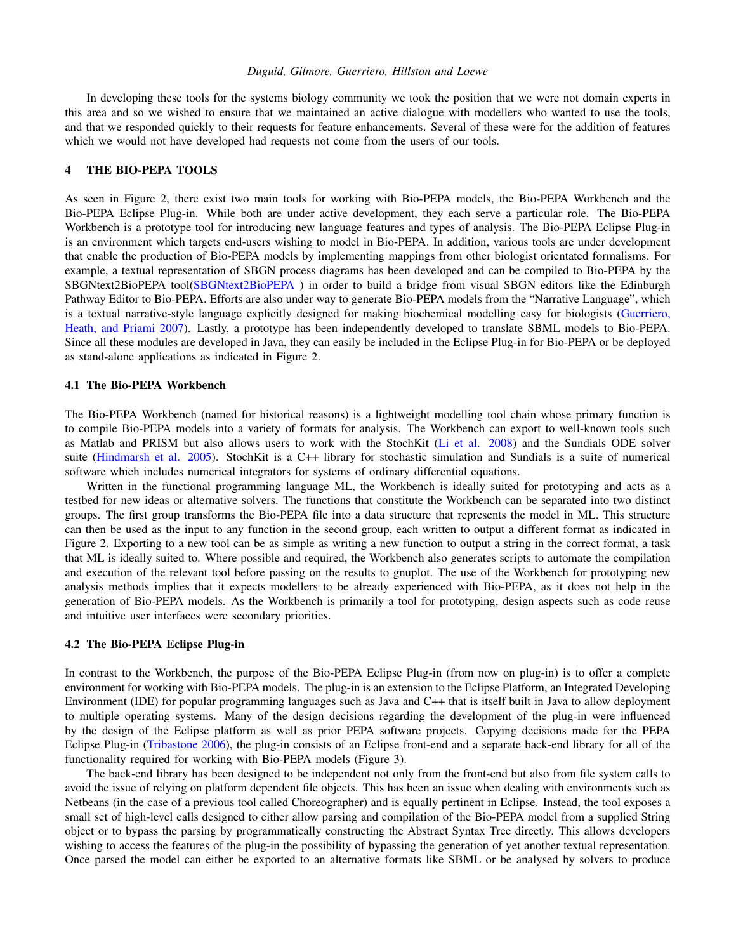In developing these tools for the systems biology community we took the position that we were not domain experts in this area and so we wished to ensure that we maintained an active dialogue with modellers who wanted to use the tools, and that we responded quickly to their requests for feature enhancements. Several of these were for the addition of features which we would not have developed had requests not come from the users of our tools.

## <span id="page-6-0"></span>4 THE BIO-PEPA TOOLS

As seen in Figure [2,](#page-5-0) there exist two main tools for working with Bio-PEPA models, the Bio-PEPA Workbench and the Bio-PEPA Eclipse Plug-in. While both are under active development, they each serve a particular role. The Bio-PEPA Workbench is a prototype tool for introducing new language features and types of analysis. The Bio-PEPA Eclipse Plug-in is an environment which targets end-users wishing to model in Bio-PEPA. In addition, various tools are under development that enable the production of Bio-PEPA models by implementing mappings from other biologist orientated formalisms. For example, a textual representation of SBGN process diagrams has been developed and can be compiled to Bio-PEPA by the SBGNtext2BioPEPA tool[\(SBGNtext2BioPEPA](#page-11-12) ) in order to build a bridge from visual SBGN editors like the Edinburgh Pathway Editor to Bio-PEPA. Efforts are also under way to generate Bio-PEPA models from the "Narrative Language", which is a textual narrative-style language explicitly designed for making biochemical modelling easy for biologists [\(Guerriero,](#page-10-16) [Heath, and Priami 2007\)](#page-10-16). Lastly, a prototype has been independently developed to translate SBML models to Bio-PEPA. Since all these modules are developed in Java, they can easily be included in the Eclipse Plug-in for Bio-PEPA or be deployed as stand-alone applications as indicated in Figure [2.](#page-5-0)

# 4.1 The Bio-PEPA Workbench

The Bio-PEPA Workbench (named for historical reasons) is a lightweight modelling tool chain whose primary function is to compile Bio-PEPA models into a variety of formats for analysis. The Workbench can export to well-known tools such as Matlab and PRISM but also allows users to work with the StochKit [\(Li et al. 2008\)](#page-11-7) and the Sundials ODE solver suite [\(Hindmarsh et al. 2005\)](#page-11-13). StochKit is a C++ library for stochastic simulation and Sundials is a suite of numerical software which includes numerical integrators for systems of ordinary differential equations.

Written in the functional programming language ML, the Workbench is ideally suited for prototyping and acts as a testbed for new ideas or alternative solvers. The functions that constitute the Workbench can be separated into two distinct groups. The first group transforms the Bio-PEPA file into a data structure that represents the model in ML. This structure can then be used as the input to any function in the second group, each written to output a different format as indicated in Figure [2.](#page-5-0) Exporting to a new tool can be as simple as writing a new function to output a string in the correct format, a task that ML is ideally suited to. Where possible and required, the Workbench also generates scripts to automate the compilation and execution of the relevant tool before passing on the results to gnuplot. The use of the Workbench for prototyping new analysis methods implies that it expects modellers to be already experienced with Bio-PEPA, as it does not help in the generation of Bio-PEPA models. As the Workbench is primarily a tool for prototyping, design aspects such as code reuse and intuitive user interfaces were secondary priorities.

#### 4.2 The Bio-PEPA Eclipse Plug-in

In contrast to the Workbench, the purpose of the Bio-PEPA Eclipse Plug-in (from now on plug-in) is to offer a complete environment for working with Bio-PEPA models. The plug-in is an extension to the Eclipse Platform, an Integrated Developing Environment (IDE) for popular programming languages such as Java and C++ that is itself built in Java to allow deployment to multiple operating systems. Many of the design decisions regarding the development of the plug-in were influenced by the design of the Eclipse platform as well as prior PEPA software projects. Copying decisions made for the PEPA Eclipse Plug-in [\(Tribastone 2006\)](#page-11-14), the plug-in consists of an Eclipse front-end and a separate back-end library for all of the functionality required for working with Bio-PEPA models (Figure [3\)](#page-7-0).

The back-end library has been designed to be independent not only from the front-end but also from file system calls to avoid the issue of relying on platform dependent file objects. This has been an issue when dealing with environments such as Netbeans (in the case of a previous tool called Choreographer) and is equally pertinent in Eclipse. Instead, the tool exposes a small set of high-level calls designed to either allow parsing and compilation of the Bio-PEPA model from a supplied String object or to bypass the parsing by programmatically constructing the Abstract Syntax Tree directly. This allows developers wishing to access the features of the plug-in the possibility of bypassing the generation of yet another textual representation. Once parsed the model can either be exported to an alternative formats like SBML or be analysed by solvers to produce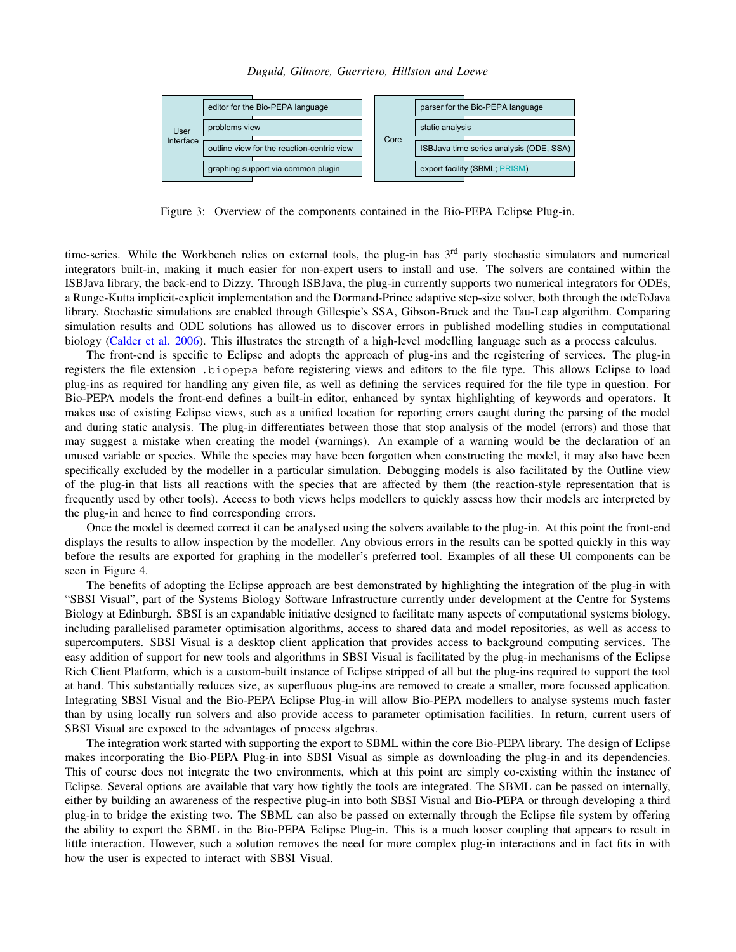*Duguid, Gilmore, Guerriero, Hillston and Loewe*



<span id="page-7-0"></span>Figure 3: Overview of the components contained in the Bio-PEPA Eclipse Plug-in.

time-series. While the Workbench relies on external tools, the plug-in has  $3<sup>rd</sup>$  party stochastic simulators and numerical integrators built-in, making it much easier for non-expert users to install and use. The solvers are contained within the ISBJava library, the back-end to Dizzy. Through ISBJava, the plug-in currently supports two numerical integrators for ODEs, a Runge-Kutta implicit-explicit implementation and the Dormand-Prince adaptive step-size solver, both through the odeToJava library. Stochastic simulations are enabled through Gillespie's SSA, Gibson-Bruck and the Tau-Leap algorithm. Comparing simulation results and ODE solutions has allowed us to discover errors in published modelling studies in computational biology [\(Calder et al. 2006\)](#page-10-2). This illustrates the strength of a high-level modelling language such as a process calculus.

The front-end is specific to Eclipse and adopts the approach of plug-ins and the registering of services. The plug-in registers the file extension .biopepa before registering views and editors to the file type. This allows Eclipse to load plug-ins as required for handling any given file, as well as defining the services required for the file type in question. For Bio-PEPA models the front-end defines a built-in editor, enhanced by syntax highlighting of keywords and operators. It makes use of existing Eclipse views, such as a unified location for reporting errors caught during the parsing of the model and during static analysis. The plug-in differentiates between those that stop analysis of the model (errors) and those that may suggest a mistake when creating the model (warnings). An example of a warning would be the declaration of an unused variable or species. While the species may have been forgotten when constructing the model, it may also have been specifically excluded by the modeller in a particular simulation. Debugging models is also facilitated by the Outline view of the plug-in that lists all reactions with the species that are affected by them (the reaction-style representation that is frequently used by other tools). Access to both views helps modellers to quickly assess how their models are interpreted by the plug-in and hence to find corresponding errors.

Once the model is deemed correct it can be analysed using the solvers available to the plug-in. At this point the front-end displays the results to allow inspection by the modeller. Any obvious errors in the results can be spotted quickly in this way before the results are exported for graphing in the modeller's preferred tool. Examples of all these UI components can be seen in Figure [4.](#page-8-1)

The benefits of adopting the Eclipse approach are best demonstrated by highlighting the integration of the plug-in with "SBSI Visual", part of the Systems Biology Software Infrastructure currently under development at the Centre for Systems Biology at Edinburgh. SBSI is an expandable initiative designed to facilitate many aspects of computational systems biology, including parallelised parameter optimisation algorithms, access to shared data and model repositories, as well as access to supercomputers. SBSI Visual is a desktop client application that provides access to background computing services. The easy addition of support for new tools and algorithms in SBSI Visual is facilitated by the plug-in mechanisms of the Eclipse Rich Client Platform, which is a custom-built instance of Eclipse stripped of all but the plug-ins required to support the tool at hand. This substantially reduces size, as superfluous plug-ins are removed to create a smaller, more focussed application. Integrating SBSI Visual and the Bio-PEPA Eclipse Plug-in will allow Bio-PEPA modellers to analyse systems much faster than by using locally run solvers and also provide access to parameter optimisation facilities. In return, current users of SBSI Visual are exposed to the advantages of process algebras.

The integration work started with supporting the export to SBML within the core Bio-PEPA library. The design of Eclipse makes incorporating the Bio-PEPA Plug-in into SBSI Visual as simple as downloading the plug-in and its dependencies. This of course does not integrate the two environments, which at this point are simply co-existing within the instance of Eclipse. Several options are available that vary how tightly the tools are integrated. The SBML can be passed on internally, either by building an awareness of the respective plug-in into both SBSI Visual and Bio-PEPA or through developing a third plug-in to bridge the existing two. The SBML can also be passed on externally through the Eclipse file system by offering the ability to export the SBML in the Bio-PEPA Eclipse Plug-in. This is a much looser coupling that appears to result in little interaction. However, such a solution removes the need for more complex plug-in interactions and in fact fits in with how the user is expected to interact with SBSI Visual.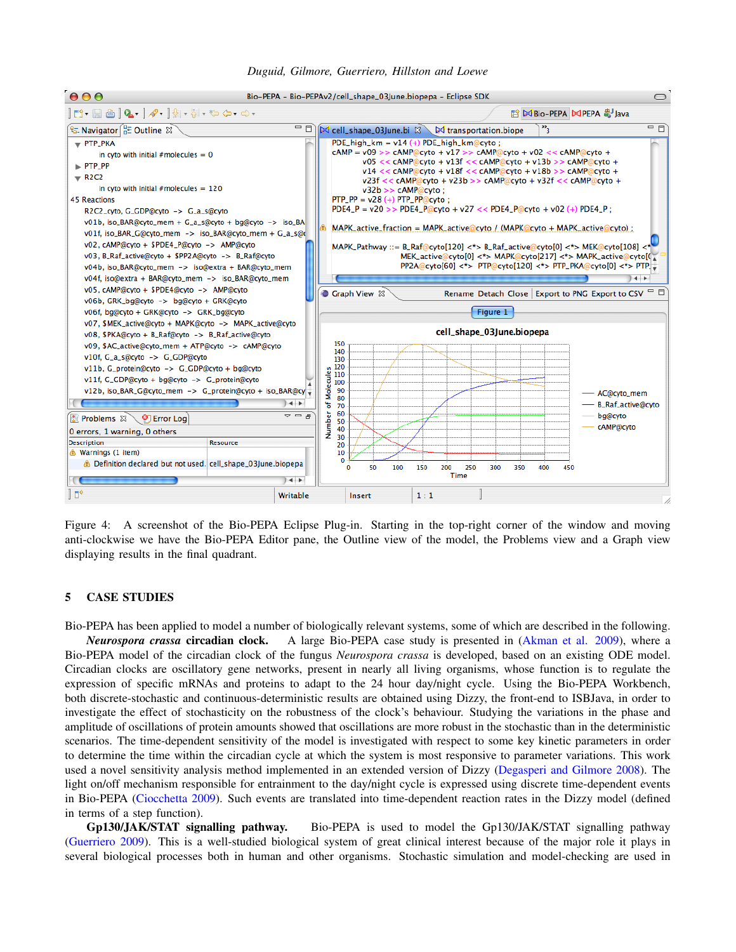





<span id="page-8-1"></span>Figure 4: A screenshot of the Bio-PEPA Eclipse Plug-in. Starting in the top-right corner of the window and moving anti-clockwise we have the Bio-PEPA Editor pane, the Outline view of the model, the Problems view and a Graph view displaying results in the final quadrant.

## <span id="page-8-0"></span>5 CASE STUDIES

Bio-PEPA has been applied to model a number of biologically relevant systems, some of which are described in the following.

*Neurospora crassa* circadian clock. A large Bio-PEPA case study is presented in [\(Akman et al. 2009\)](#page-10-17), where a Bio-PEPA model of the circadian clock of the fungus *Neurospora crassa* is developed, based on an existing ODE model. Circadian clocks are oscillatory gene networks, present in nearly all living organisms, whose function is to regulate the expression of specific mRNAs and proteins to adapt to the 24 hour day/night cycle. Using the Bio-PEPA Workbench, both discrete-stochastic and continuous-deterministic results are obtained using Dizzy, the front-end to ISBJava, in order to investigate the effect of stochasticity on the robustness of the clock's behaviour. Studying the variations in the phase and amplitude of oscillations of protein amounts showed that oscillations are more robust in the stochastic than in the deterministic scenarios. The time-dependent sensitivity of the model is investigated with respect to some key kinetic parameters in order to determine the time within the circadian cycle at which the system is most responsive to parameter variations. This work used a novel sensitivity analysis method implemented in an extended version of Dizzy [\(Degasperi and Gilmore 2008\)](#page-10-18). The light on/off mechanism responsible for entrainment to the day/night cycle is expressed using discrete time-dependent events in Bio-PEPA [\(Ciocchetta 2009\)](#page-10-5). Such events are translated into time-dependent reaction rates in the Dizzy model (defined in terms of a step function).

Gp130/JAK/STAT signalling pathway. Bio-PEPA is used to model the Gp130/JAK/STAT signalling pathway [\(Guerriero 2009\)](#page-10-9). This is a well-studied biological system of great clinical interest because of the major role it plays in several biological processes both in human and other organisms. Stochastic simulation and model-checking are used in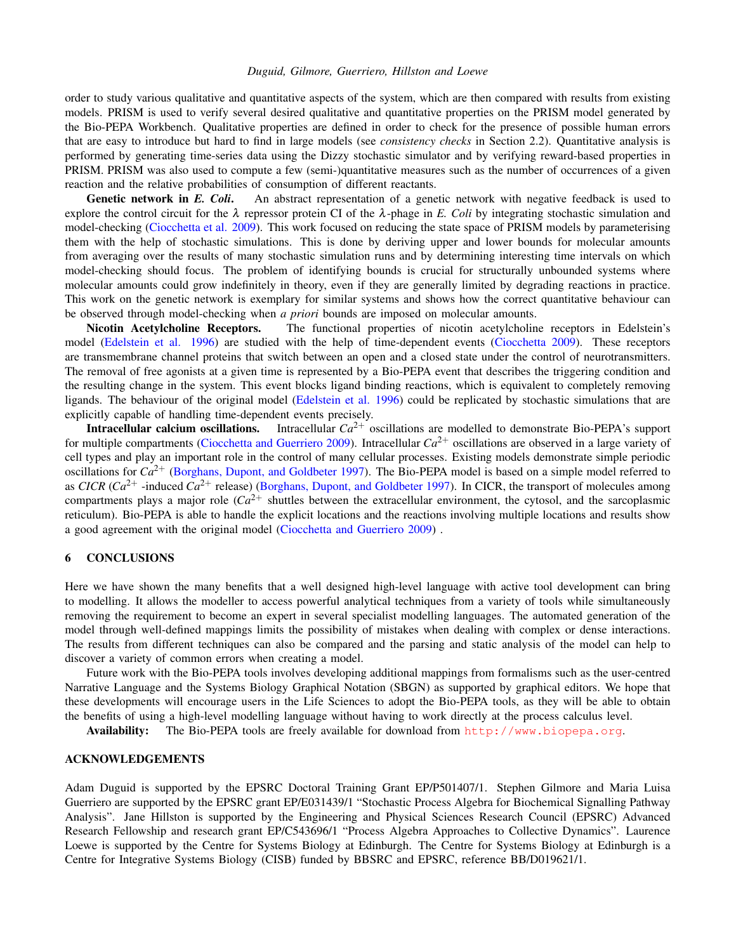order to study various qualitative and quantitative aspects of the system, which are then compared with results from existing models. PRISM is used to verify several desired qualitative and quantitative properties on the PRISM model generated by the Bio-PEPA Workbench. Qualitative properties are defined in order to check for the presence of possible human errors that are easy to introduce but hard to find in large models (see *consistency checks* in Section [2.2\)](#page-2-1). Quantitative analysis is performed by generating time-series data using the Dizzy stochastic simulator and by verifying reward-based properties in PRISM. PRISM was also used to compute a few (semi-)quantitative measures such as the number of occurrences of a given reaction and the relative probabilities of consumption of different reactants.

Genetic network in *E. Coli*. An abstract representation of a genetic network with negative feedback is used to explore the control circuit for the  $\lambda$  repressor protein CI of the  $\lambda$ -phage in *E. Coli* by integrating stochastic simulation and model-checking [\(Ciocchetta et al. 2009\)](#page-10-3). This work focused on reducing the state space of PRISM models by parameterising them with the help of stochastic simulations. This is done by deriving upper and lower bounds for molecular amounts from averaging over the results of many stochastic simulation runs and by determining interesting time intervals on which model-checking should focus. The problem of identifying bounds is crucial for structurally unbounded systems where molecular amounts could grow indefinitely in theory, even if they are generally limited by degrading reactions in practice. This work on the genetic network is exemplary for similar systems and shows how the correct quantitative behaviour can be observed through model-checking when *a priori* bounds are imposed on molecular amounts.

Nicotin Acetylcholine Receptors. The functional properties of nicotin acetylcholine receptors in Edelstein's model [\(Edelstein et al. 1996\)](#page-10-19) are studied with the help of time-dependent events [\(Ciocchetta 2009\)](#page-10-5). These receptors are transmembrane channel proteins that switch between an open and a closed state under the control of neurotransmitters. The removal of free agonists at a given time is represented by a Bio-PEPA event that describes the triggering condition and the resulting change in the system. This event blocks ligand binding reactions, which is equivalent to completely removing ligands. The behaviour of the original model [\(Edelstein et al. 1996\)](#page-10-19) could be replicated by stochastic simulations that are explicitly capable of handling time-dependent events precisely.

**Intracellular calcium oscillations.** Intracellular  $Ca^{2+}$  oscillations are modelled to demonstrate Bio-PEPA's support for multiple compartments [\(Ciocchetta and Guerriero 2009\)](#page-10-4). Intracellular  $Ca^{2+}$  oscillations are observed in a large variety of cell types and play an important role in the control of many cellular processes. Existing models demonstrate simple periodic oscillations for  $Ca^{2+}$  [\(Borghans, Dupont, and Goldbeter 1997\)](#page-10-20). The Bio-PEPA model is based on a simple model referred to as *CICR* ( $Ca^{2+}$  -induced  $Ca^{2+}$  release) [\(Borghans, Dupont, and Goldbeter 1997\)](#page-10-20). In CICR, the transport of molecules among compartments plays a major role  $(Ca^{2+}$  shuttles between the extracellular environment, the cytosol, and the sarcoplasmic reticulum). Bio-PEPA is able to handle the explicit locations and the reactions involving multiple locations and results show a good agreement with the original model [\(Ciocchetta and Guerriero 2009\)](#page-10-4) .

## 6 CONCLUSIONS

Here we have shown the many benefits that a well designed high-level language with active tool development can bring to modelling. It allows the modeller to access powerful analytical techniques from a variety of tools while simultaneously removing the requirement to become an expert in several specialist modelling languages. The automated generation of the model through well-defined mappings limits the possibility of mistakes when dealing with complex or dense interactions. The results from different techniques can also be compared and the parsing and static analysis of the model can help to discover a variety of common errors when creating a model.

Future work with the Bio-PEPA tools involves developing additional mappings from formalisms such as the user-centred Narrative Language and the Systems Biology Graphical Notation (SBGN) as supported by graphical editors. We hope that these developments will encourage users in the Life Sciences to adopt the Bio-PEPA tools, as they will be able to obtain the benefits of using a high-level modelling language without having to work directly at the process calculus level.

Availability: The Bio-PEPA tools are freely available for download from <http://www.biopepa.org>.

# ACKNOWLEDGEMENTS

Adam Duguid is supported by the EPSRC Doctoral Training Grant EP/P501407/1. Stephen Gilmore and Maria Luisa Guerriero are supported by the EPSRC grant EP/E031439/1 "Stochastic Process Algebra for Biochemical Signalling Pathway Analysis". Jane Hillston is supported by the Engineering and Physical Sciences Research Council (EPSRC) Advanced Research Fellowship and research grant EP/C543696/1 "Process Algebra Approaches to Collective Dynamics". Laurence Loewe is supported by the Centre for Systems Biology at Edinburgh. The Centre for Systems Biology at Edinburgh is a Centre for Integrative Systems Biology (CISB) funded by BBSRC and EPSRC, reference BB/D019621/1.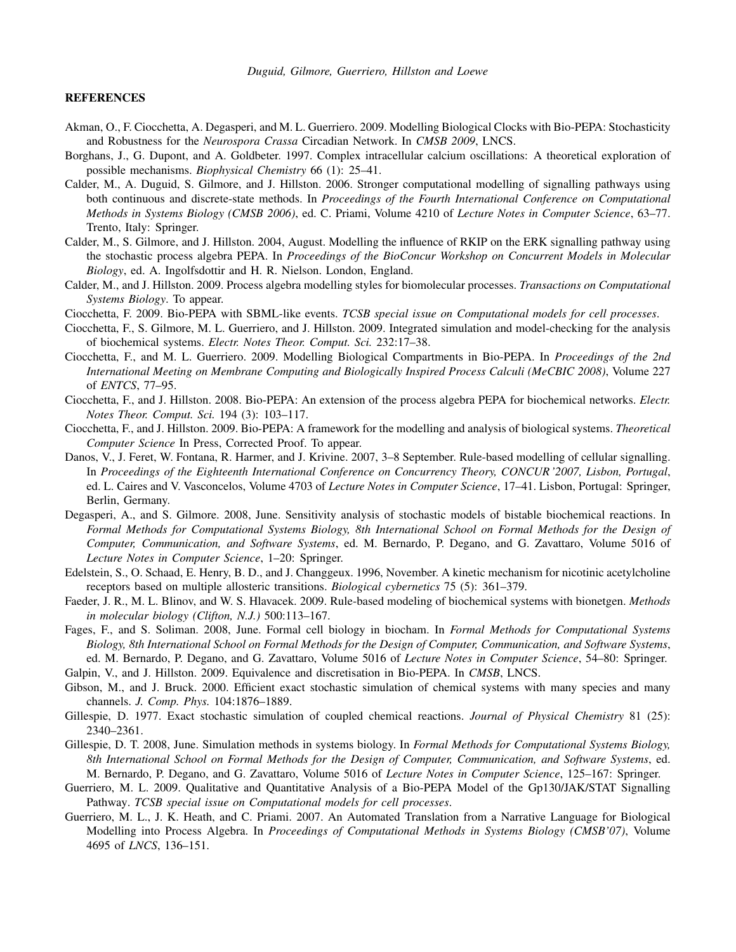## **REFERENCES**

- <span id="page-10-17"></span>Akman, O., F. Ciocchetta, A. Degasperi, and M. L. Guerriero. 2009. Modelling Biological Clocks with Bio-PEPA: Stochasticity and Robustness for the *Neurospora Crassa* Circadian Network. In *CMSB 2009*, LNCS.
- <span id="page-10-20"></span>Borghans, J., G. Dupont, and A. Goldbeter. 1997. Complex intracellular calcium oscillations: A theoretical exploration of possible mechanisms. *Biophysical Chemistry* 66 (1): 25–41.
- <span id="page-10-2"></span>Calder, M., A. Duguid, S. Gilmore, and J. Hillston. 2006. Stronger computational modelling of signalling pathways using both continuous and discrete-state methods. In *Proceedings of the Fourth International Conference on Computational Methods in Systems Biology (CMSB 2006)*, ed. C. Priami, Volume 4210 of *Lecture Notes in Computer Science*, 63–77. Trento, Italy: Springer.
- <span id="page-10-10"></span>Calder, M., S. Gilmore, and J. Hillston. 2004, August. Modelling the influence of RKIP on the ERK signalling pathway using the stochastic process algebra PEPA. In *Proceedings of the BioConcur Workshop on Concurrent Models in Molecular Biology*, ed. A. Ingolfsdottir and H. R. Nielson. London, England.
- <span id="page-10-15"></span>Calder, M., and J. Hillston. 2009. Process algebra modelling styles for biomolecular processes. *Transactions on Computational Systems Biology*. To appear.
- <span id="page-10-5"></span>Ciocchetta, F. 2009. Bio-PEPA with SBML-like events. *TCSB special issue on Computational models for cell processes*.
- <span id="page-10-3"></span>Ciocchetta, F., S. Gilmore, M. L. Guerriero, and J. Hillston. 2009. Integrated simulation and model-checking for the analysis of biochemical systems. *Electr. Notes Theor. Comput. Sci.* 232:17–38.
- <span id="page-10-4"></span>Ciocchetta, F., and M. L. Guerriero. 2009. Modelling Biological Compartments in Bio-PEPA. In *Proceedings of the 2nd International Meeting on Membrane Computing and Biologically Inspired Process Calculi (MeCBIC 2008)*, Volume 227 of *ENTCS*, 77–95.
- <span id="page-10-0"></span>Ciocchetta, F., and J. Hillston. 2008. Bio-PEPA: An extension of the process algebra PEPA for biochemical networks. *Electr. Notes Theor. Comput. Sci.* 194 (3): 103–117.
- <span id="page-10-1"></span>Ciocchetta, F., and J. Hillston. 2009. Bio-PEPA: A framework for the modelling and analysis of biological systems. *Theoretical Computer Science* In Press, Corrected Proof. To appear.
- <span id="page-10-12"></span>Danos, V., J. Feret, W. Fontana, R. Harmer, and J. Krivine. 2007, 3–8 September. Rule-based modelling of cellular signalling. In *Proceedings of the Eighteenth International Conference on Concurrency Theory, CONCUR '2007, Lisbon, Portugal*, ed. L. Caires and V. Vasconcelos, Volume 4703 of *Lecture Notes in Computer Science*, 17–41. Lisbon, Portugal: Springer, Berlin, Germany.
- <span id="page-10-18"></span>Degasperi, A., and S. Gilmore. 2008, June. Sensitivity analysis of stochastic models of bistable biochemical reactions. In *Formal Methods for Computational Systems Biology, 8th International School on Formal Methods for the Design of Computer, Communication, and Software Systems*, ed. M. Bernardo, P. Degano, and G. Zavattaro, Volume 5016 of *Lecture Notes in Computer Science*, 1–20: Springer.
- <span id="page-10-19"></span>Edelstein, S., O. Schaad, E. Henry, B. D., and J. Changgeux. 1996, November. A kinetic mechanism for nicotinic acetylcholine receptors based on multiple allosteric transitions. *Biological cybernetics* 75 (5): 361–379.
- <span id="page-10-13"></span>Faeder, J. R., M. L. Blinov, and W. S. Hlavacek. 2009. Rule-based modeling of biochemical systems with bionetgen. *Methods in molecular biology (Clifton, N.J.)* 500:113–167.
- <span id="page-10-14"></span>Fages, F., and S. Soliman. 2008, June. Formal cell biology in biocham. In *Formal Methods for Computational Systems Biology, 8th International School on Formal Methods for the Design of Computer, Communication, and Software Systems*, ed. M. Bernardo, P. Degano, and G. Zavattaro, Volume 5016 of *Lecture Notes in Computer Science*, 54–80: Springer.
- <span id="page-10-6"></span>Galpin, V., and J. Hillston. 2009. Equivalence and discretisation in Bio-PEPA. In *CMSB*, LNCS.
- <span id="page-10-11"></span>Gibson, M., and J. Bruck. 2000. Efficient exact stochastic simulation of chemical systems with many species and many channels. *J. Comp. Phys.* 104:1876–1889.
- <span id="page-10-7"></span>Gillespie, D. 1977. Exact stochastic simulation of coupled chemical reactions. *Journal of Physical Chemistry* 81 (25): 2340–2361.
- <span id="page-10-8"></span>Gillespie, D. T. 2008, June. Simulation methods in systems biology. In *Formal Methods for Computational Systems Biology, 8th International School on Formal Methods for the Design of Computer, Communication, and Software Systems*, ed. M. Bernardo, P. Degano, and G. Zavattaro, Volume 5016 of *Lecture Notes in Computer Science*, 125–167: Springer.
- <span id="page-10-9"></span>Guerriero, M. L. 2009. Qualitative and Quantitative Analysis of a Bio-PEPA Model of the Gp130/JAK/STAT Signalling Pathway. *TCSB special issue on Computational models for cell processes*.
- <span id="page-10-16"></span>Guerriero, M. L., J. K. Heath, and C. Priami. 2007. An Automated Translation from a Narrative Language for Biological Modelling into Process Algebra. In *Proceedings of Computational Methods in Systems Biology (CMSB'07)*, Volume 4695 of *LNCS*, 136–151.